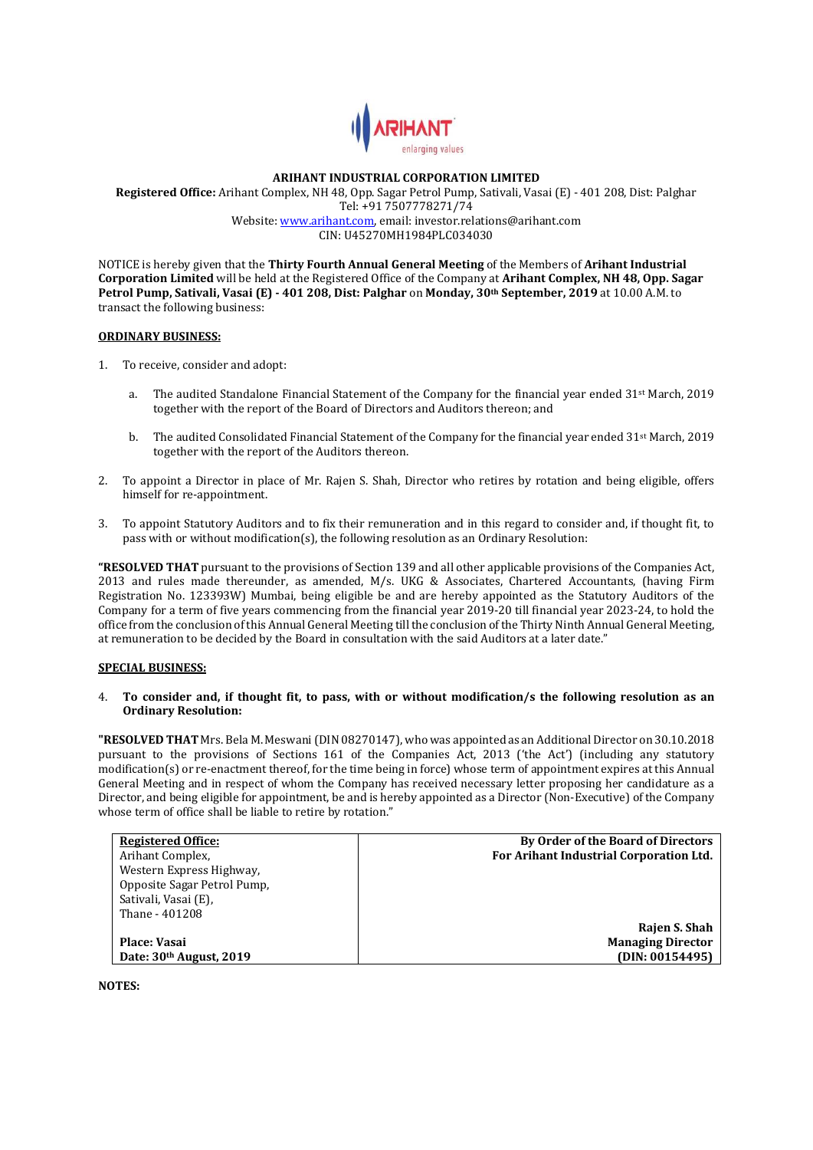

# **ARIHANT INDUSTRIAL CORPORATION LIMITED**

**Registered Office:** Arihant Complex, NH 48, Opp. Sagar Petrol Pump, Sativali, Vasai (E) - 401 208, Dist: Palghar Tel: +91 7507778271/74 Website[: www.arihant.com,](http://www.arihant.com/) email: investor.relations@arihant.com CIN: U45270MH1984PLC034030

NOTICE is hereby given that the **Thirty Fourth Annual General Meeting** of the Members of **Arihant Industrial Corporation Limited** will be held at the Registered Office of the Company at **Arihant Complex, NH 48, Opp. Sagar Petrol Pump, Sativali, Vasai (E) - 401 208, Dist: Palghar** on **Monday, 30th September, 2019** at 10.00 A.M. to transact the following business:

#### **ORDINARY BUSINESS:**

- 1. To receive, consider and adopt:
	- The audited Standalone Financial Statement of the Company for the financial year ended 31<sup>st</sup> March, 2019 together with the report of the Board of Directors and Auditors thereon; and
	- b. The audited Consolidated Financial Statement of the Company for the financial year ended 31st March, 2019 together with the report of the Auditors thereon.
- 2. To appoint a Director in place of Mr. Rajen S. Shah, Director who retires by rotation and being eligible, offers himself for re-appointment.
- 3. To appoint Statutory Auditors and to fix their remuneration and in this regard to consider and, if thought fit, to pass with or without modification(s), the following resolution as an Ordinary Resolution:

**"RESOLVED THAT** pursuant to the provisions of Section 139 and all other applicable provisions of the Companies Act, 2013 and rules made thereunder, as amended, M/s. UKG & Associates, Chartered Accountants, (having Firm Registration No. 123393W) Mumbai, being eligible be and are hereby appointed as the Statutory Auditors of the Company for a term of five years commencing from the financial year 2019-20 till financial year 2023-24, to hold the office from the conclusion of this Annual General Meeting till the conclusion of the Thirty Ninth Annual General Meeting, at remuneration to be decided by the Board in consultation with the said Auditors at a later date."

### **SPECIAL BUSINESS:**

### 4. **To consider and, if thought fit, to pass, with or without modification/s the following resolution as an Ordinary Resolution:**

**"RESOLVED THAT** Mrs. Bela M. Meswani(DIN 08270147), who was appointed as an Additional Director on 30.10.2018 pursuant to the provisions of Sections 161 of the Companies Act, 2013 ('the Act') (including any statutory modification(s) or re-enactment thereof, for the time being in force) whose term of appointment expires at this Annual General Meeting and in respect of whom the Company has received necessary letter proposing her candidature as a Director, and being eligible for appointment, be and is hereby appointed as a Director (Non-Executive) of the Company whose term of office shall be liable to retire by rotation."

| <b>Registered Office:</b>   | By Order of the Board of Directors      |
|-----------------------------|-----------------------------------------|
| Arihant Complex.            | For Arihant Industrial Corporation Ltd. |
| Western Express Highway,    |                                         |
| Opposite Sagar Petrol Pump, |                                         |
| Sativali, Vasai (E),        |                                         |
| Thane - 401208              |                                         |
|                             | Rajen S. Shah                           |
| Place: Vasai                | <b>Managing Director</b>                |
| Date: 30th August, 2019     | (DIN: 00154495)                         |

**NOTES:**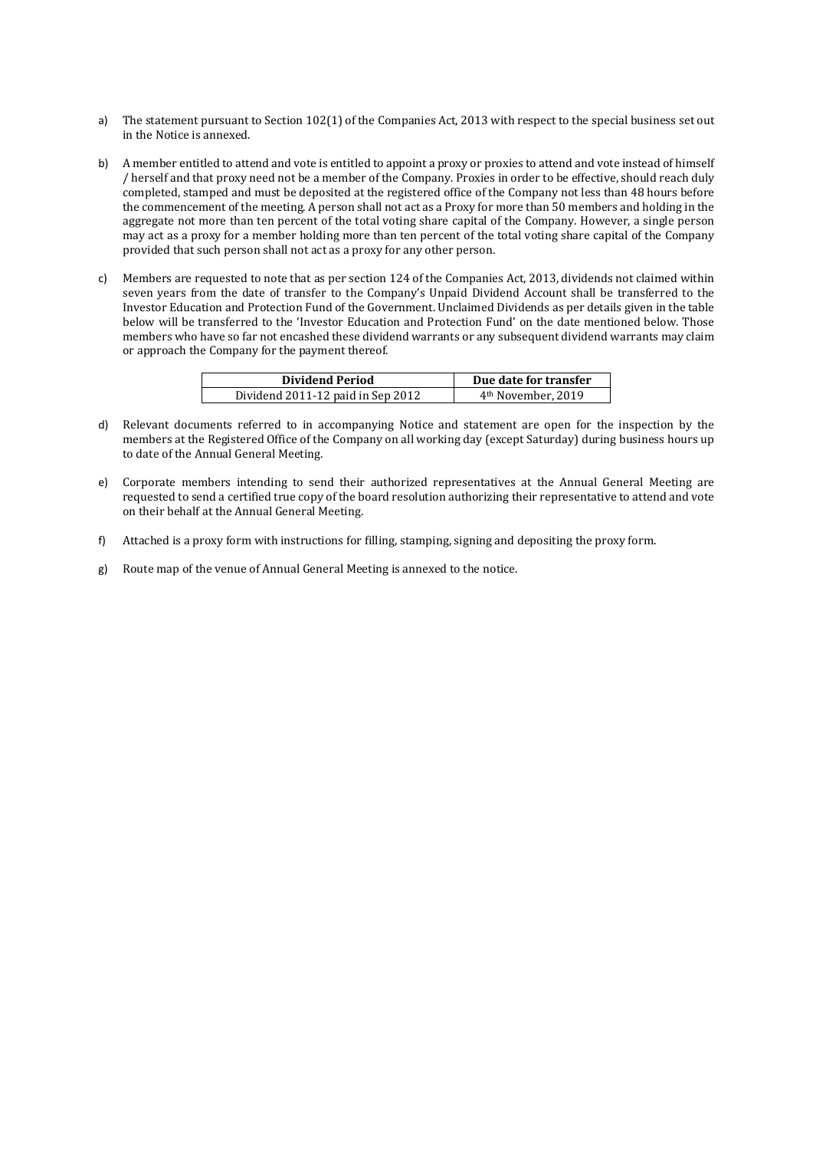- a) The statement pursuant to Section 102(1) of the Companies Act, 2013 with respect to the special business set out in the Notice is annexed.
- b) A member entitled to attend and vote is entitled to appoint a proxy or proxies to attend and vote instead of himself / herself and that proxy need not be a member of the Company. Proxies in order to be effective, should reach duly completed, stamped and must be deposited at the registered office of the Company not less than 48 hours before the commencement of the meeting. A person shall not act as a Proxy for more than 50 members and holding in the aggregate not more than ten percent of the total voting share capital of the Company. However, a single person may act as a proxy for a member holding more than ten percent of the total voting share capital of the Company provided that such person shall not act as a proxy for any other person.
- c) Members are requested to note that as per section 124 of the Companies Act, 2013, dividends not claimed within seven years from the date of transfer to the Company's Unpaid Dividend Account shall be transferred to the Investor Education and Protection Fund of the Government. Unclaimed Dividends as per details given in the table below will be transferred to the 'Investor Education and Protection Fund' on the date mentioned below. Those members who have so far not encashed these dividend warrants or any subsequent dividend warrants may claim or approach the Company for the payment thereof.

| <b>Dividend Period</b>            | Due date for transfer          |
|-----------------------------------|--------------------------------|
| Dividend 2011-12 paid in Sep 2012 | 4 <sup>th</sup> November, 2019 |

- d) Relevant documents referred to in accompanying Notice and statement are open for the inspection by the members at the Registered Office of the Company on all working day (except Saturday) during business hours up to date of the Annual General Meeting.
- e) Corporate members intending to send their authorized representatives at the Annual General Meeting are requested to send a certified true copy of the board resolution authorizing their representative to attend and vote on their behalf at the Annual General Meeting.
- f) Attached is a proxy form with instructions for filling, stamping, signing and depositing the proxy form.
- g) Route map of the venue of Annual General Meeting is annexed to the notice.